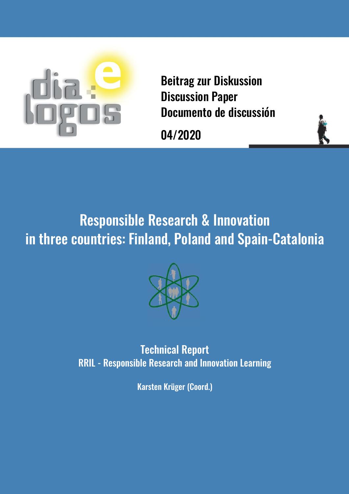

Beitrag zur Diskussion Discussion Paper Documento de discussión

04/2020



# Responsible Research & Innovation in three countries: Finland, Poland and Spain-Catalonia



Technical Report RRIL - Responsible Research and Innovation Learning

Karsten Krüger (Coord.)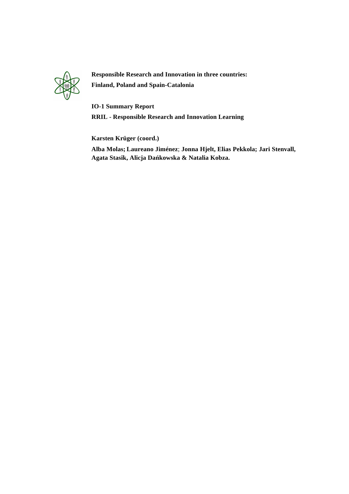

**Responsible Research and Innovation in three countries: Finland, Poland and Spain-Catalonia**

**IO-1 Summary Report** 

**RRIL - Responsible Research and Innovation Learning**

**Karsten Krüger (coord.)**

**Alba Molas; Laureano Jiménez**; **Jonna Hjelt, Elias Pekkola; Jari Stenvall, Agata Stasik, Alicja Dańkowska & Natalia Kobza.**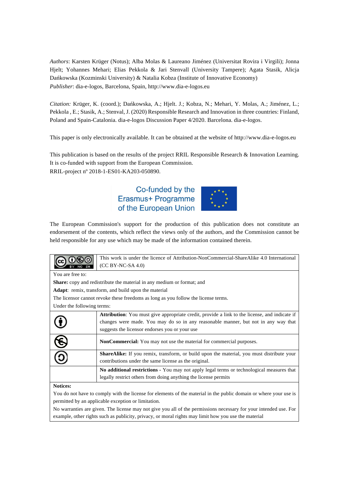*Authors*: Karsten Krüger (Notus); Alba Molas & Laureano Jiménez (Universitat Rovira i Virgili); Jonna Hjelt; Yohannes Mehari; Elias Pekkola & Jari Stenvall (University Tampere); Agata Stasik, Alicja Dańkowska (Kozminski University) & Natalia Kobza (Institute of Innovative Economy) *Publisher*: dia-e-logos, Barcelona, Spain, http://www.dia-e-logos.eu

*Citation:* Krüger, K. (coord.); Dańkowska, A.; Hjelt. J.; Kobza, N.; Mehari, Y. Molas, A.; Jiménez, L.; Pekkola , E.; Stasik, A.; Stenval, J. (2020) Responsible Research and Innovation in three countries: Finland, Poland and Spain-Catalonia. dia-e-logos Discussion Paper 4/2020. Barcelona. dia-e-logos.

This paper is only electronically available. It can be obtained at the website of http://www.dia-e-logos.eu

This publication is based on the results of the project RRIL Responsible Research & Innovation Learning. It is co-funded with support from the European Commission. RRIL-project nº 2018-1-ES01-KA203-050890.

# Co-funded by the Erasmus+ Programme of the European Union



The European Commission's support for the production of this publication does not constitute an endorsement of the contents, which reflect the views only of the authors, and the Commission cannot be held responsible for any use which may be made of the information contained therein.

|                                                                                                                   | This work is under the licence of Attribution-NonCommercial-ShareAlike 4.0 International<br>(CC BY-NC-SA 4.0) |  |  |  |  |  |  |
|-------------------------------------------------------------------------------------------------------------------|---------------------------------------------------------------------------------------------------------------|--|--|--|--|--|--|
| You are free to:                                                                                                  |                                                                                                               |  |  |  |  |  |  |
|                                                                                                                   | <b>Share:</b> copy and redistribute the material in any medium or format; and                                 |  |  |  |  |  |  |
|                                                                                                                   | <b>Adapt:</b> remix, transform, and build upon the material                                                   |  |  |  |  |  |  |
|                                                                                                                   | The licensor cannot revoke these freedoms as long as you follow the license terms.                            |  |  |  |  |  |  |
| Under the following terms:                                                                                        |                                                                                                               |  |  |  |  |  |  |
|                                                                                                                   | <b>Attribution:</b> You must give appropriate credit, provide a link to the license, and indicate if          |  |  |  |  |  |  |
|                                                                                                                   | changes were made. You may do so in any reasonable manner, but not in any way that                            |  |  |  |  |  |  |
|                                                                                                                   | suggests the licensor endorses you or your use                                                                |  |  |  |  |  |  |
|                                                                                                                   | <b>NonCommercial:</b> You may not use the material for commercial purposes.                                   |  |  |  |  |  |  |
|                                                                                                                   | ShareAlike: If you remix, transform, or build upon the material, you must distribute your                     |  |  |  |  |  |  |
|                                                                                                                   | contributions under the same license as the original.                                                         |  |  |  |  |  |  |
|                                                                                                                   | No additional restrictions - You may not apply legal terms or technological measures that                     |  |  |  |  |  |  |
|                                                                                                                   | legally restrict others from doing anything the license permits                                               |  |  |  |  |  |  |
| <b>Notices:</b>                                                                                                   |                                                                                                               |  |  |  |  |  |  |
| You do not have to comply with the license for elements of the material in the public domain or where your use is |                                                                                                               |  |  |  |  |  |  |
| permitted by an applicable exception or limitation.                                                               |                                                                                                               |  |  |  |  |  |  |

No warranties are given. The license may not give you all of the permissions necessary for your intended use. For example, other rights such as publicity, privacy, or moral rights may limit how you use the material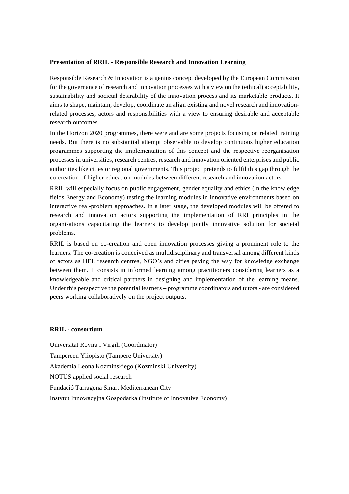## **Presentation of RRIL - Responsible Research and Innovation Learning**

Responsible Research & Innovation is a genius concept developed by the European Commission for the governance of research and innovation processes with a view on the (ethical) acceptability, sustainability and societal desirability of the innovation process and its marketable products. It aims to shape, maintain, develop, coordinate an align existing and novel research and innovationrelated processes, actors and responsibilities with a view to ensuring desirable and acceptable research outcomes.

In the Horizon 2020 programmes, there were and are some projects focusing on related training needs. But there is no substantial attempt observable to develop continuous higher education programmes supporting the implementation of this concept and the respective reorganisation processes in universities, research centres, research and innovation oriented enterprises and public authorities like cities or regional governments. This project pretends to fulfil this gap through the co-creation of higher education modules between different research and innovation actors.

RRIL will especially focus on public engagement, gender equality and ethics (in the knowledge fields Energy and Economy) testing the learning modules in innovative environments based on interactive real-problem approaches. In a later stage, the developed modules will be offered to research and innovation actors supporting the implementation of RRI principles in the organisations capacitating the learners to develop jointly innovative solution for societal problems.

RRIL is based on co-creation and open innovation processes giving a prominent role to the learners. The co-creation is conceived as multidisciplinary and transversal among different kinds of actors as HEI, research centres, NGO's and cities paving the way for knowledge exchange between them. It consists in informed learning among practitioners considering learners as a knowledgeable and critical partners in designing and implementation of the learning means. Under this perspective the potential learners – programme coordinators and tutors - are considered peers working collaboratively on the project outputs.

#### **RRIL - consortium**

Universitat Rovira i Virgili (Coordinator) Tampereen Yliopisto (Tampere University) Akademia Leona Koźmińskiego (Kozminski University) NOTUS applied social research Fundació Tarragona Smart Mediterranean City Instytut Innowacyjna Gospodarka (Institute of Innovative Economy)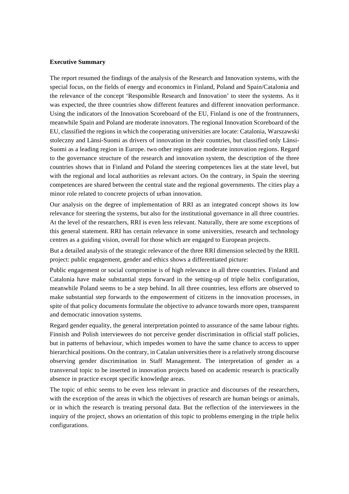#### **Executive Summary**

The report resumed the findings of the analysis of the Research and Innovation systems, with the special focus, on the fields of energy and economics in Finland, Poland and Spain/Catalonia and the relevance of the concept 'Responsible Research and Innovation' to steer the systems. As it was expected, the three countries show different features and different innovation performance. Using the indicators of the Innovation Scoreboard of the EU, Finland is one of the frontrunners, meanwhile Spain and Poland are moderate innovators. The regional Innovation Scoreboard of the EU, classified the regions in which the cooperating universities are locate: Catalonia, Warszawski stoleczny and Länsi-Suomi as drivers of innovation in their countries, but classified only Länsi-Suomi as a leading region in Europe. two other regions are moderate innovation regions. Regard to the governance structure of the research and innovation system, the description of the three countries shows that in Finland and Poland the steering competences lies at the state level, but with the regional and local authorities as relevant actors. On the contrary, in Spain the steering competences are shared between the central state and the regional governments. The cities play a minor role related to concrete projects of urban innovation.

Our analysis on the degree of implementation of RRI as an integrated concept shows its low relevance for steering the systems, but also for the institutional governance in all three countries. At the level of the researchers, RRI is even less relevant. Naturally, there are some exceptions of this general statement. RRI has certain relevance in some universities, research and technology centres as a guiding vision, overall for those which are engaged to European projects.

But a detailed analysis of the strategic relevance of the three RRI dimension selected by the RRIL project: public engagement, gender and ethics shows a differentiated picture:

Public engagement or social compromise is of high relevance in all three countries. Finland and Catalonia have make substantial steps forward in the setting-up of triple helix configuration, meanwhile Poland seems to be a step behind. In all three countries, less efforts are observed to make substantial step forwards to the empowerment of citizens in the innovation processes, in spite of that policy documents formulate the objective to advance towards more open, transparent and democratic innovation systems.

Regard gender equality, the general interpretation pointed to assurance of the same labour rights. Finnish and Polish interviewees do not perceive gender discrimination in official staff policies, but in patterns of behaviour, which impedes women to have the same chance to access to upper hierarchical positions. On the contrary, in Catalan universities there is a relatively strong discourse observing gender discrimination in Staff Management. The interpretation of gender as a transversal topic to be inserted in innovation projects based on academic research is practically absence in practice except specific knowledge areas.

The topic of ethic seems to be even less relevant in practice and discourses of the researchers, with the exception of the areas in which the objectives of research are human beings or animals, or in which the research is treating personal data. But the reflection of the interviewees in the inquiry of the project, shows an orientation of this topic to problems emerging in the triple helix configurations.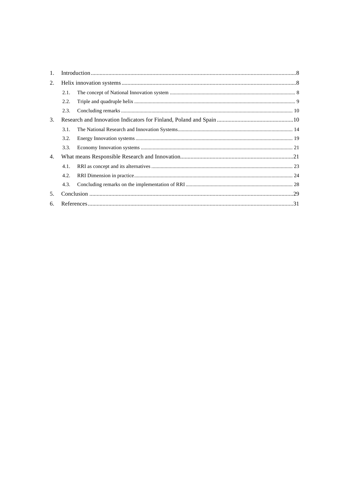| 1. |      |  |
|----|------|--|
| 2. |      |  |
|    | 2.1. |  |
|    | 2.2. |  |
|    | 2.3. |  |
| 3. |      |  |
|    | 3.1. |  |
|    | 3.2. |  |
|    | 3.3. |  |
| 4. |      |  |
|    | 4.1. |  |
|    | 4.2. |  |
|    | 4.3. |  |
| 5. |      |  |
| 6. |      |  |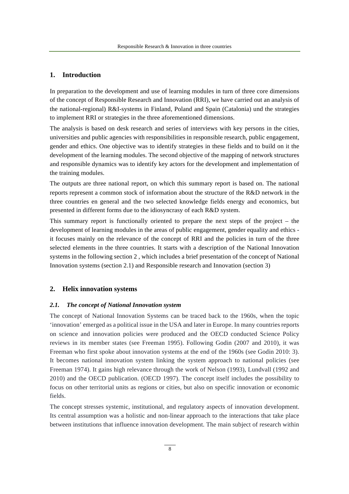# **1. Introduction**

In preparation to the development and use of learning modules in turn of three core dimensions of the concept of Responsible Research and Innovation (RRI), we have carried out an analysis of the national-regional) R&I-systems in Finland, Poland and Spain (Catalonia) und the strategies to implement RRI or strategies in the three aforementioned dimensions.

The analysis is based on desk research and series of interviews with key persons in the cities, universities and public agencies with responsibilities in responsible research, public engagement, gender and ethics. One objective was to identify strategies in these fields and to build on it the development of the learning modules. The second objective of the mapping of network structures and responsible dynamics was to identify key actors for the development and implementation of the training modules.

The outputs are three national report, on which this summary report is based on. The national reports represent a common stock of information about the structure of the R&D network in the three countries en general and the two selected knowledge fields energy and economics, but presented in different forms due to the idiosyncrasy of each R&D system.

This summary report is functionally oriented to prepare the next steps of the project – the development of learning modules in the areas of public engagement, gender equality and ethics it focuses mainly on the relevance of the concept of RRI and the policies in turn of the three selected elements in the three countries. It starts with a description of the National Innovation systems in the following section 2 , which includes a brief presentation of the concept of National Innovation systems (section 2.1) and Responsible research and Innovation (section 3)

#### **2. Helix innovation systems**

#### *2.1. The concept of National Innovation system*

The concept of National Innovation Systems can be traced back to the 1960s, when the topic 'innovation' emerged as a political issue in the USA and later in Europe. In many countries reports on science and innovation policies were produced and the OECD conducted Science Policy reviews in its member states (see Freeman 1995). Following Godin (2007 and 2010), it was Freeman who first spoke about innovation systems at the end of the 1960s (see Godin 2010: 3). It becomes national innovation system linking the system approach to national policies (see Freeman 1974). It gains high relevance through the work of Nelson (1993), Lundvall (1992 and 2010) and the OECD publication. (OECD 1997). The concept itself includes the possibility to focus on other territorial units as regions or cities, but also on specific innovation or economic fields.

The concept stresses systemic, institutional, and regulatory aspects of innovation development. Its central assumption was a holistic and non-linear approach to the interactions that take place between institutions that influence innovation development. The main subject of research within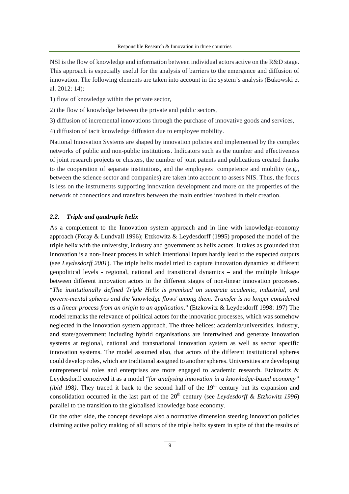NSI is the flow of knowledge and information between individual actors active on the R&D stage. This approach is especially useful for the analysis of barriers to the emergence and diffusion of innovation. The following elements are taken into account in the system's analysis (Bukowski et al. 2012: 14):

1) flow of knowledge within the private sector,

2) the flow of knowledge between the private and public sectors,

3) diffusion of incremental innovations through the purchase of innovative goods and services,

4) diffusion of tacit knowledge diffusion due to employee mobility.

National Innovation Systems are shaped by innovation policies and implemented by the complex networks of public and non-public institutions. Indicators such as the number and effectiveness of joint research projects or clusters, the number of joint patents and publications created thanks to the cooperation of separate institutions, and the employees' competence and mobility (e.g., between the science sector and companies) are taken into account to assess NIS. Thus, the focus is less on the instruments supporting innovation development and more on the properties of the network of connections and transfers between the main entities involved in their creation.

#### *2.2. Triple and quadruple helix*

As a complement to the Innovation system approach and in line with knowledge-economy approach (Foray & Lundvall 1996); Etzkowitz & Leydesdorff (1995) proposed the model of the triple helix with the university, industry and government as helix actors. It takes as grounded that innovation is a non-linear process in which intentional inputs hardly lead to the expected outputs (see *Leydesdorff 2001*). The triple helix model tried to capture innovation dynamics at different geopolitical levels - regional, national and transitional dynamics – and the multiple linkage between different innovation actors in the different stages of non-linear innovation processes. "*The institutionally defined Triple Helix is premised on separate academic, industrial, and govern-mental spheres and the 'knowledge flows' among them. Transfer is no longer considered as a linear process from an origin to an application*." (Etzkowitz & Leydesdorff 1998: 197) The model remarks the relevance of political actors for the innovation processes, which was somehow neglected in the innovation system approach. The three helices: academia/universities, industry, and state/government including hybrid organisations are intertwined and generate innovation systems at regional, national and transnational innovation system as well as sector specific innovation systems. The model assumed also, that actors of the different institutional spheres could develop roles, which are traditional assigned to another spheres. Universities are developing entrepreneurial roles and enterprises are more engaged to academic research. Etzkowitz & Leydesdorff conceived it as a model "*for analysing innovation in a knowledge-based economy" (ibid* 198*)*. They traced it back to the second half of the  $19<sup>th</sup>$  century but its expansion and consolidation occurred in the last part of the 20<sup>th</sup> century (see *Leydesdorff & Etzkowitz 1996*) parallel to the transition to the globalised knowledge base economy.

On the other side, the concept develops also a normative dimension steering innovation policies claiming active policy making of all actors of the triple helix system in spite of that the results of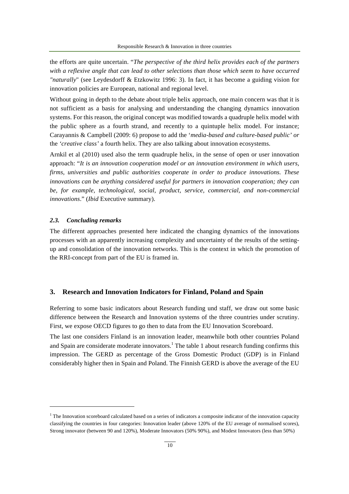the efforts are quite uncertain. "*The perspective of the third helix provides each of the partners*  with a reflexive angle that can lead to other selections than those which seem to have occurred *"naturally*" (see Leydesdorff & Etzkowitz 1996: 3). In fact, it has become a guiding vision for innovation policies are European, national and regional level.

Without going in depth to the debate about triple helix approach, one main concern was that it is not sufficient as a basis for analysing and understanding the changing dynamics innovation systems. For this reason, the original concept was modified towards a quadruple helix model with the public sphere as a fourth strand, and recently to a quintuple helix model. For instance; Carayannis & Campbell (2009: 6) propose to add the '*media-based and culture-based public' or*  the *'creative class'* a fourth helix. They are also talking about innovation ecosystems.

Arnkil et al (2010) used also the term quadruple helix, in the sense of open or user innovation approach: "*It is an innovation cooperation model or an innovation environment in which users, firms, universities and public authorities cooperate in order to produce innovations. These innovations can be anything considered useful for partners in innovation cooperation; they can be, for example, technological, social, product, service, commercial, and non-commercial innovations*." (*Ibid* Executive summary).

#### *2.3. Concluding remarks*

The different approaches presented here indicated the changing dynamics of the innovations processes with an apparently increasing complexity and uncertainty of the results of the settingup and consolidation of the innovation networks. This is the context in which the promotion of the RRI-concept from part of the EU is framed in.

# **3. Research and Innovation Indicators for Finland, Poland and Spain**

Referring to some basic indicators about Research funding und staff, we draw out some basic difference between the Research and Innovation systems of the three countries under scrutiny. First, we expose OECD figures to go then to data from the EU Innovation Scoreboard.

The last one considers Finland is an innovation leader, meanwhile both other countries Poland and Spain are considerate moderate innovators.<sup>1</sup> The table 1 about research funding confirms this impression. The GERD as percentage of the Gross Domestic Product (GDP) is in Finland considerably higher then in Spain and Poland. The Finnish GERD is above the average of the EU

 $1$  The Innovation scoreboard calculated based on a series of indicators a composite indicator of the innovation capacity classifying the countries in four categories: Innovation leader (above 120% of the EU average of normalised scores), Strong innovator (between 90 and 120%), Moderate Innovators (50% 90%), and Modest Innovators (less than 50%)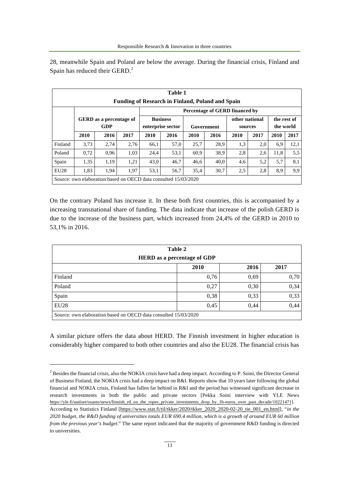28, meanwhile Spain and Poland are below the average. During the financial crisis, Finland and Spain has reduced their GERD.<sup>2</sup>

| Table 1                                                 |                                       |      |      |                 |                                                                 |                |      |             |      |           |      |
|---------------------------------------------------------|---------------------------------------|------|------|-----------------|-----------------------------------------------------------------|----------------|------|-------------|------|-----------|------|
| <b>Funding of Research in Finland, Poland and Spain</b> |                                       |      |      |                 |                                                                 |                |      |             |      |           |      |
|                                                         | <b>Percentage of GERD financed by</b> |      |      |                 |                                                                 |                |      |             |      |           |      |
|                                                         | <b>GERD</b> as a percentage of        |      |      | <b>Business</b> |                                                                 | other national |      | the rest of |      |           |      |
|                                                         |                                       | GDP  |      |                 | enterprise sector                                               | Government     |      | sources     |      | the world |      |
|                                                         | 2010                                  | 2016 | 2017 | 2010            | 2016                                                            | 2010           | 2016 | 2010        | 2017 | 2010      | 2017 |
| Finland                                                 | 3,73                                  | 2,74 | 2,76 | 66,1            | 57,0                                                            | 25,7           | 28,9 | 1,3         | 2,0  | 6,9       | 12,1 |
| Poland                                                  | 0,72                                  | 0.96 | 1,03 | 24,4            | 53,1                                                            | 60,9           | 38,9 | 2,8         | 2,6  | 11,8      | 5,5  |
| Spain                                                   | 1,35                                  | 1,19 | 1,21 | 43,0            | 46,7                                                            | 46,6           | 40,0 | 4,6         | 5,2  | 5,7       | 8,1  |
| EU <sub>28</sub>                                        | 1,83                                  | 1,94 | 1,97 | 53,1            | 56,7                                                            | 35,4           | 30,7 | 2,5         | 2,8  | 8,9       | 9,9  |
|                                                         |                                       |      |      |                 | Source: own elaboration based on OECD data consulted 15/03/2020 |                |      |             |      |           |      |

On the contrary Poland has increase it. In these both first countries, this is accompanied by a increasing transnational share of funding. The data indicate that increase of the polish GERD is due to the increase of the business part, which increased from 24,4% of the GERD in 2010 to 53,1% in 2016.

| Table 2                                                         |      |      |      |  |  |  |  |
|-----------------------------------------------------------------|------|------|------|--|--|--|--|
| <b>HERD</b> as a percentage of GDP                              |      |      |      |  |  |  |  |
|                                                                 | 2010 | 2016 | 2017 |  |  |  |  |
| Finland                                                         | 0,76 | 0,69 | 0,70 |  |  |  |  |
| Poland                                                          | 0,27 | 0,30 | 0,34 |  |  |  |  |
| Spain                                                           | 0,38 | 0,33 | 0,33 |  |  |  |  |
| EU28                                                            | 0,45 | 0,44 | 0,44 |  |  |  |  |
| Source: own elaboration based on OECD data consulted 15/03/2020 |      |      |      |  |  |  |  |

A similar picture offers the data about HERD. The Finnish investment in higher education is considerably higher compared to both other countries and also the EU28. The financial crisis has

<sup>&</sup>lt;sup>2</sup> Besides the financial crisis, also the NOKIA crisis have had a deep impact. According to P. Soini, the Director General of Business Finland, the NOKIA crisis had a deep impact on R&I. Reports show that 10 years later following the global financial and NOKIA crisis, Finland has fallen far behind in R&I and the period has witnessed significant decrease in research investments in both the public and private sectors [Pekka Soini interview with YLE News https://yle.fi/uutiset/osasto/news/finnish\_rd\_on\_the\_ropes\_private\_investments\_drop\_by\_1b-euros\_over\_past\_decade/10221471]. According to Statistics Finland [https://www.stat.fi/til/tkker/2020/tkker\_2020\_2020-02-20\_tie\_001\_en.html], "*in the 2020 budget, the R&D funding of universities totals EUR 690.4 million, which is a growth of around EUR 60 million from the previous year's budget*." The same report indicated that the majority of government R&D funding is directed to universities.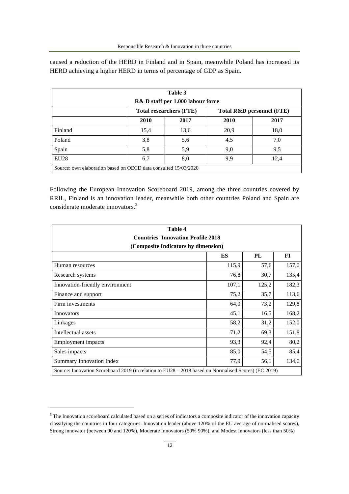caused a reduction of the HERD in Finland and in Spain, meanwhile Poland has increased its HERD achieving a higher HERD in terms of percentage of GDP as Spain.

| Table 3                                                                |      |      |      |      |  |  |  |
|------------------------------------------------------------------------|------|------|------|------|--|--|--|
| R& D staff per 1.000 labour force                                      |      |      |      |      |  |  |  |
| <b>Total researchers (FTE)</b><br><b>Total R&amp;D personnel (FTE)</b> |      |      |      |      |  |  |  |
|                                                                        | 2010 | 2017 | 2010 | 2017 |  |  |  |
| Finland                                                                | 15,4 | 13,6 | 20,9 | 18,0 |  |  |  |
| Poland                                                                 | 3,8  | 5,6  | 4,5  | 7,0  |  |  |  |
| Spain                                                                  | 5,8  | 5,9  | 9,0  | 9,5  |  |  |  |
| EU <sub>28</sub>                                                       | 6,7  | 8,0  | 9,9  | 12,4 |  |  |  |
| Source: own elaboration based on OECD data consulted 15/03/2020        |      |      |      |      |  |  |  |

Following the European Innovation Scoreboard 2019, among the three countries covered by RRIL, Finland is an innovation leader, meanwhile both other countries Poland and Spain are considerate moderate innovators.<sup>3</sup>

| Table 4                                   |                                                                                                      |       |       |  |  |  |  |  |
|-------------------------------------------|------------------------------------------------------------------------------------------------------|-------|-------|--|--|--|--|--|
| <b>Countries' Innovation Profile 2018</b> |                                                                                                      |       |       |  |  |  |  |  |
| (Composite Indicators by dimension)       |                                                                                                      |       |       |  |  |  |  |  |
|                                           | ES                                                                                                   | PL    | FI    |  |  |  |  |  |
| Human resources                           | 115,9                                                                                                | 57,6  | 157,0 |  |  |  |  |  |
| Research systems                          | 76,8                                                                                                 | 30,7  | 135,4 |  |  |  |  |  |
| Innovation-friendly environment           | 107,1                                                                                                | 125,2 | 182,3 |  |  |  |  |  |
| Finance and support                       | 75,2                                                                                                 | 35,7  | 113,6 |  |  |  |  |  |
| Firm investments                          | 64,0                                                                                                 | 73,2  | 129,8 |  |  |  |  |  |
| Innovators                                | 45,1                                                                                                 | 16,5  | 168,2 |  |  |  |  |  |
| Linkages                                  | 58,2                                                                                                 | 31,2  | 152,0 |  |  |  |  |  |
| Intellectual assets                       | 71,2                                                                                                 | 69,3  | 151,8 |  |  |  |  |  |
| <b>Employment</b> impacts                 | 93,3                                                                                                 | 92,4  | 80,2  |  |  |  |  |  |
| Sales impacts                             | 85,0                                                                                                 | 54,5  | 85,4  |  |  |  |  |  |
| Summary Innovation Index                  | 77,9                                                                                                 | 56,1  | 134,0 |  |  |  |  |  |
|                                           | Source: Innovation Scoreboard 2019 (in relation to EU28 – 2018 based on Normalised Scores) (EC 2019) |       |       |  |  |  |  |  |

 $\overline{a}$ 

 $3$  The Innovation scoreboard calculated based on a series of indicators a composite indicator of the innovation capacity classifying the countries in four categories: Innovation leader (above 120% of the EU average of normalised scores), Strong innovator (between 90 and 120%), Moderate Innovators (50% 90%), and Modest Innovators (less than 50%)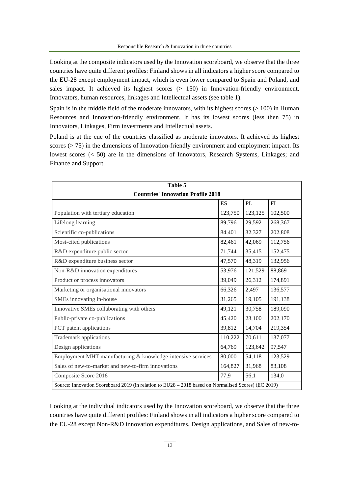Looking at the composite indicators used by the Innovation scoreboard, we observe that the three countries have quite different profiles: Finland shows in all indicators a higher score compared to the EU-28 except employment impact, which is even lower compared to Spain and Poland, and sales impact. It achieved its highest scores  $(> 150)$  in Innovation-friendly environment, Innovators, human resources, linkages and Intellectual assets (see table 1).

Spain is in the middle field of the moderate innovators, with its highest scores  $(>100)$  in Human Resources and Innovation-friendly environment. It has its lowest scores (less then 75) in Innovators, Linkages, Firm investments and Intellectual assets.

Poland is at the cue of the countries classified as moderate innovators. It achieved its highest scores (> 75) in the dimensions of Innovation-friendly environment and employment impact. Its lowest scores (< 50) are in the dimensions of Innovators, Research Systems, Linkages; and Finance and Support.

| Table 5                                                                                              |         |         |           |  |  |  |  |
|------------------------------------------------------------------------------------------------------|---------|---------|-----------|--|--|--|--|
| <b>Countries' Innovation Profile 2018</b>                                                            |         |         |           |  |  |  |  |
|                                                                                                      | ES      | PL      | <b>FI</b> |  |  |  |  |
| Population with tertiary education                                                                   | 123,750 | 123,125 | 102,500   |  |  |  |  |
| Lifelong learning                                                                                    | 89,796  | 29,592  | 268,367   |  |  |  |  |
| Scientific co-publications                                                                           | 84,401  | 32,327  | 202,808   |  |  |  |  |
| Most-cited publications                                                                              | 82,461  | 42,069  | 112,756   |  |  |  |  |
| R&D expenditure public sector                                                                        | 71,744  | 35,415  | 152,475   |  |  |  |  |
| R&D expenditure business sector                                                                      | 47,570  | 48,319  | 132,956   |  |  |  |  |
| Non-R&D innovation expenditures                                                                      | 53,976  | 121,529 | 88,869    |  |  |  |  |
| Product or process innovators                                                                        | 39,049  | 26,312  | 174,891   |  |  |  |  |
| Marketing or organisational innovators                                                               | 66,326  | 2,497   | 136,577   |  |  |  |  |
| SMEs innovating in-house                                                                             | 31,265  | 19,105  | 191,138   |  |  |  |  |
| Innovative SMEs collaborating with others                                                            | 49,121  | 30,758  | 189,090   |  |  |  |  |
| Public-private co-publications                                                                       | 45,420  | 23,100  | 202,170   |  |  |  |  |
| PCT patent applications                                                                              | 39,812  | 14,704  | 219,354   |  |  |  |  |
| <b>Trademark applications</b>                                                                        | 110,222 | 70,611  | 137,077   |  |  |  |  |
| Design applications                                                                                  | 64,769  | 123,642 | 97,547    |  |  |  |  |
| Employment MHT manufacturing & knowledge-intensive services                                          | 80,000  | 54,118  | 123,529   |  |  |  |  |
| Sales of new-to-market and new-to-firm innovations                                                   | 164,827 | 31,968  | 83,108    |  |  |  |  |
| Composite Score 2018                                                                                 | 77,9    | 56,1    | 134,0     |  |  |  |  |
| Source: Innovation Scoreboard 2019 (in relation to EU28 - 2018 based on Normalised Scores) (EC 2019) |         |         |           |  |  |  |  |

Looking at the individual indicators used by the Innovation scoreboard, we observe that the three countries have quite different profiles: Finland shows in all indicators a higher score compared to the EU-28 except Non-R&D innovation expenditures, Design applications, and Sales of new-to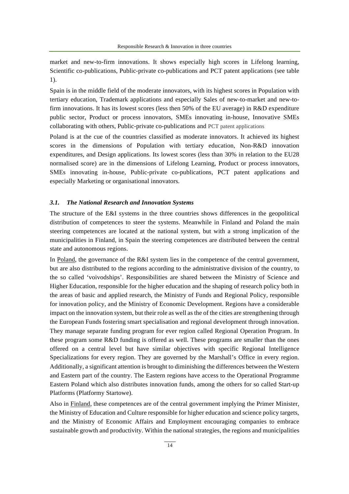market and new-to-firm innovations. It shows especially high scores in Lifelong learning, Scientific co-publications, Public-private co-publications and PCT patent applications (see table 1).

Spain is in the middle field of the moderate innovators, with its highest scores in Population with tertiary education, Trademark applications and especially Sales of new-to-market and new-tofirm innovations. It has its lowest scores (less then 50% of the EU average) in R&D expenditure public sector, Product or process innovators, SMEs innovating in-house, Innovative SMEs collaborating with others, Public-private co-publications and PCT patent applications

Poland is at the cue of the countries classified as moderate innovators. It achieved its highest scores in the dimensions of Population with tertiary education, Non-R&D innovation expenditures, and Design applications. Its lowest scores (less than 30% in relation to the EU28 normalised score) are in the dimensions of Lifelong Learning, Product or process innovators, SMEs innovating in-house, Public-private co-publications, PCT patent applications and especially Marketing or organisational innovators.

#### *3.1. The National Research and Innovation Systems*

The structure of the E&I systems in the three countries shows differences in the geopolitical distribution of competences to steer the systems. Meanwhile in Finland and Poland the main steering competences are located at the national system, but with a strong implication of the municipalities in Finland, in Spain the steering competences are distributed between the central state and autonomous regions.

In Poland, the governance of the R&I system lies in the competence of the central government, but are also distributed to the regions according to the administrative division of the country, to the so called 'voivodships'. Responsibilities are shared between the Ministry of Science and Higher Education, responsible for the higher education and the shaping of research policy both in the areas of basic and applied research, the Ministry of Funds and Regional Policy, responsible for innovation policy, and the Ministry of Economic Development. Regions have a considerable impact on the innovation system, but their role as well as the of the cities are strengthening through the European Funds fostering smart specialisation and regional development through innovation. They manage separate funding program for ever region called Regional Operation Program. In these program some R&D funding is offered as well. These programs are smaller than the ones offered on a central level but have similar objectives with specific Regional Intelligence Specializations for every region. They are governed by the Marshall's Office in every region. Additionally, a significant attention is brought to diminishing the differences between the Western and Eastern part of the country. The Eastern regions have access to the Operational Programme Eastern Poland which also distributes innovation funds, among the others for so called Start-up Platforms (Platformy Startowe).

Also in Finland, these competences are of the central government implying the Primer Minister, the Ministry of Education and Culture responsible for higher education and science policy targets, and the Ministry of Economic Affairs and Employment encouraging companies to embrace sustainable growth and productivity. Within the national strategies, the regions and municipalities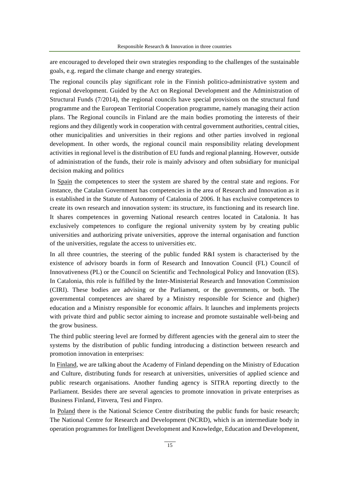are encouraged to developed their own strategies responding to the challenges of the sustainable goals, e.g. regard the climate change and energy strategies.

The regional councils play significant role in the Finnish politico-administrative system and regional development. Guided by the Act on Regional Development and the Administration of Structural Funds (7/2014), the regional councils have special provisions on the structural fund programme and the European Territorial Cooperation programme, namely managing their action plans. The Regional councils in Finland are the main bodies promoting the interests of their regions and they diligently work in cooperation with central government authorities, central cities, other municipalities and universities in their regions and other parties involved in regional development. In other words, the regional council main responsibility relating development activities in regional level is the distribution of EU funds and regional planning. However, outside of administration of the funds, their role is mainly advisory and often subsidiary for municipal decision making and politics

In Spain the competences to steer the system are shared by the central state and regions. For instance, the Catalan Government has competencies in the area of Research and Innovation as it is established in the Statute of Autonomy of Catalonia of 2006. It has exclusive competences to create its own research and innovation system: its structure, its functioning and its research line. It shares competences in governing National research centres located in Catalonia. It has exclusively competences to configure the regional university system by by creating public universities and authorizing private universities, approve the internal organisation and function of the universities, regulate the access to universities etc.

In all three countries, the steering of the public funded R&I system is characterised by the existence of advisory boards in form of Research and Innovation Council (FL) Council of Innovativeness (PL) or the Council on Scientific and Technological Policy and Innovation (ES). In Catalonia, this role is fulfilled by the Inter-Ministerial Research and Innovation Commission (CIRI). These bodies are advising or the Parliament, or the governments, or both. The governmental competences are shared by a Ministry responsible for Science and (higher) education and a Ministry responsible for economic affairs. It launches and implements projects with private third and public sector aiming to increase and promote sustainable well-being and the grow business.

The third public steering level are formed by different agencies with the general aim to steer the systems by the distribution of public funding introducing a distinction between research and promotion innovation in enterprises:

In Finland, we are talking about the Academy of Finland depending on the Ministry of Education and Culture, distributing funds for research at universities, universities of applied science and public research organisations. Another funding agency is SITRA reporting directly to the Parliament. Besides there are several agencies to promote innovation in private enterprises as Business Finland, Finvera, Tesi and Finpro.

In Poland there is the National Science Centre distributing the public funds for basic research; The National Centre for Research and Development (NCRD), which is an intermediate body in operation programmes for Intelligent Development and Knowledge, Education and Development,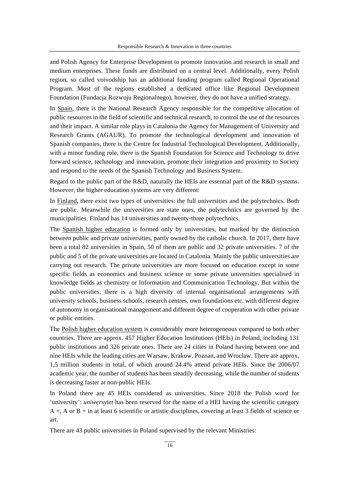and Polish Agency for Enterprise Development to promote innovation and research in small and medium enterprises. These funds are distributed on a central level. Additionally, every Polish region, so called voivodship has an additional funding program called Regional Operational Program. Most of the regions established a dedicated office like Regional Development Foundation (Fundacja Rozwoju Regionalnego), however, they do not have a unified strategy.

In Spain, there is the National Research Agency responsible for the competitive allocation of public resources in the field of scientific and technical research, to control the use of the resources and their impact. A similar role plays in Catalonia the Agency for Management of University and Research Grants (AGAUR). To promote the technological development and innovation of Spanish companies, there is the Centre for Industrial Technological Development. Additionally, with a minor funding role, there is the Spanish Foundation for Science and Technology to drive forward science, technology and innovation, promote their integration and proximity to Society and respond to the needs of the Spanish Technology and Business System.

Regard to the public part of the R&D, naturally the HEIs are essential part of the R&D systems. However, the higher education systems are very different:

In Finland, there exist two types of universities: the full universities and the polytechnics. Both are public. Meanwhile the universities are state ones, the polytechnics are governed by the municipalities. Finland has 14 universities and twenty-three polytechnics.

The Spanish higher education is formed only by universities, but marked by the distinction between public and private universities, partly owned by the catholic church. In 2017, there have been a total 82 universities in Spain, 50 of them are public and 32 private universities. 7 of the public and 5 of the private universities are located in Catalonia. Mainly the public universities are carrying out research. The private universities are more focused on education except in some specific fields as economics and business science or some private universities specialised in knowledge fields as chemistry or Information and Communication Technology. But within the public universities, there is a high diversity of internal organisational arrangements with university schools, business schools, research centres, own foundations etc. with different degree of autonomy in organisational management and different degree of cooperation with other private or public entities.

The Polish higher education system is considerably more heterogeneous compared to both other countries. There are approx. 457 Higher Education Institutions (HEIs) in Poland, including 131 public institutions and 326 private ones. There are 24 cities in Poland having between one and nine HEIs while the leading cities are Warsaw, Krakow, Poznan, and Wroclaw. There are approx. 1,5 million students in total, of which around 24.4% attend private HEIs. Since the 2006/07 academic year, the number of students has been steadily decreasing, while the number of students is decreasing faster at non-public HEIs.

In Poland there are 45 HEIs considered as universities. Since 2018 the Polish word for 'university': *uniwersytet* has been reserved for the name of a HEI having the scientific category A +, A or B + in at least 6 scientific or artistic disciplines, covering at least 3 fields of science or art.

There are 43 public universities in Poland supervised by the relevant Ministries: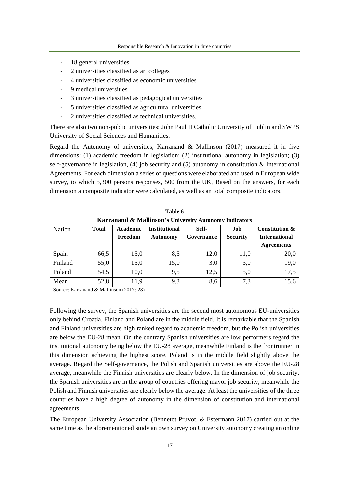- 18 general universities
- 2 universities classified as art colleges
- 4 universities classified as economic universities
- 9 medical universities
- 3 universities classified as pedagogical universities
- 5 universities classified as agricultural universities
- 2 universities classified as technical universities.

There are also two non-public universities: John Paul II Catholic University of Lublin and SWPS University of Social Sciences and Humanities.

Regard the Autonomy of universities, Karranand & Mallinson (2017) measured it in five dimensions: (1) academic freedom in legislation; (2) institutional autonomy in legislation; (3) self-governance in legislation, (4) job security and (5) autonomy in constitution & International Agreements, For each dimension a series of questions were elaborated and used in European wide survey, to which 5,300 persons responses, 500 from the UK, Based on the answers, for each dimension a composite indicator were calculated, as well as an total composite indicators.

| Table 6 |                                                                   |                                          |                      |            |                 |                           |  |  |  |
|---------|-------------------------------------------------------------------|------------------------------------------|----------------------|------------|-----------------|---------------------------|--|--|--|
|         | <b>Karranand &amp; Mallinson's University Autonomy Indicators</b> |                                          |                      |            |                 |                           |  |  |  |
| Nation  | <b>Total</b>                                                      | Academic                                 | <b>Institutional</b> | Self-      | Job             | <b>Constitution &amp;</b> |  |  |  |
|         |                                                                   | Freedom                                  | <b>Autonomy</b>      | Governance | <b>Security</b> | <b>International</b>      |  |  |  |
|         |                                                                   |                                          |                      |            |                 | <b>Agreements</b>         |  |  |  |
| Spain   | 66,5                                                              | 15,0                                     | 8,5                  | 12,0       | 11,0            | 20,0                      |  |  |  |
| Finland | 55,0                                                              | 15,0                                     | 15,0                 | 3,0        | 3,0             | 19,0                      |  |  |  |
| Poland  | 54,5                                                              | 10,0                                     | 9,5                  | 12,5       | 5,0             | 17,5                      |  |  |  |
| Mean    | 52,8                                                              | 11,9                                     | 9,3                  | 8,6        | 7,3             | 15,6                      |  |  |  |
|         |                                                                   | Source: Karranand & Mallinson (2017: 28) |                      |            |                 |                           |  |  |  |

Following the survey, the Spanish universities are the second most autonomous EU-universities only behind Croatia. Finland and Poland are in the middle field. It is remarkable that the Spanish and Finland universities are high ranked regard to academic freedom, but the Polish universities are below the EU-28 mean. On the contrary Spanish universities are low performers regard the institutional autonomy being below the EU-28 average, meanwhile Finland is the frontrunner in this dimension achieving the highest score. Poland is in the middle field slightly above the average. Regard the Self-governance, the Polish and Spanish universities are above the EU-28 average, meanwhile the Finnish universities are clearly below. In the dimension of job security, the Spanish universities are in the group of countries offering mayor job security, meanwhile the Polish and Finnish universities are clearly below the average. At least the universities of the three countries have a high degree of autonomy in the dimension of constitution and international agreements.

The European University Association (Bennetot Pruvot. & Estermann 2017) carried out at the same time as the aforementioned study an own survey on University autonomy creating an online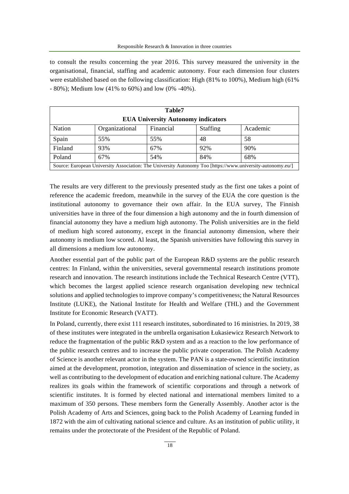to consult the results concerning the year 2016. This survey measured the university in the organisational, financial, staffing and academic autonomy. Four each dimension four clusters were established based on the following classification: High (81% to 100%), Medium high (61% - 80%); Medium low (41% to 60%) and low (0% -40%).

| Table7                                                                                                     |                |           |                 |          |  |  |  |
|------------------------------------------------------------------------------------------------------------|----------------|-----------|-----------------|----------|--|--|--|
| <b>EUA University Autonomy indicators</b>                                                                  |                |           |                 |          |  |  |  |
| Nation                                                                                                     | Organizational | Financial | <b>Staffing</b> | Academic |  |  |  |
| Spain                                                                                                      | 55%            | 55%       | 48              | 58       |  |  |  |
| Finland                                                                                                    | 93%            | 67%       | 92%             | 90%      |  |  |  |
| Poland                                                                                                     | 67%            | 54%       | 84%             | 68%      |  |  |  |
| Source: European University Association: The University Autonomy Too [https://www.university-autonomy.eu/] |                |           |                 |          |  |  |  |

The results are very different to the previously presented study as the first one takes a point of reference the academic freedom, meanwhile in the survey of the EUA the core question is the institutional autonomy to governance their own affair. In the EUA survey, The Finnish universities have in three of the four dimension a high autonomy and the in fourth dimension of financial autonomy they have a medium high autonomy. The Polish universities are in the field of medium high scored autonomy, except in the financial autonomy dimension, where their autonomy is medium low scored. Al least, the Spanish universities have following this survey in all dimensions a medium low autonomy.

Another essential part of the public part of the European R&D systems are the public research centres: In Finland, within the universities, several governmental research institutions promote research and innovation. The research institutions include the Technical Research Centre (VTT), which becomes the largest applied science research organisation developing new technical solutions and applied technologies to improve company's competitiveness; the Natural Resources Institute (LUKE), the National Institute for Health and Welfare (THL) and the Government Institute for Economic Research (VATT).

In Poland, currently, there exist 111 research institutes, subordinated to 16 ministries. In 2019, 38 of these institutes were integrated in the umbrella organisation Łukasiewicz Research Network to reduce the fragmentation of the public R&D system and as a reaction to the low performance of the public research centres and to increase the public private cooperation. The Polish Academy of Science is another relevant actor in the system. The PAN is a state-owned scientific institution aimed at the development, promotion, integration and dissemination of science in the society, as well as contributing to the development of education and enriching national culture. The Academy realizes its goals within the framework of scientific corporations and through a network of scientific institutes. It is formed by elected national and international members limited to a maximum of 350 persons. These members form the Generally Assembly. Another actor is the Polish Academy of Arts and Sciences, going back to the Polish Academy of Learning funded in 1872 with the aim of cultivating national science and culture. As an institution of public utility, it remains under the protectorate of the President of the Republic of Poland.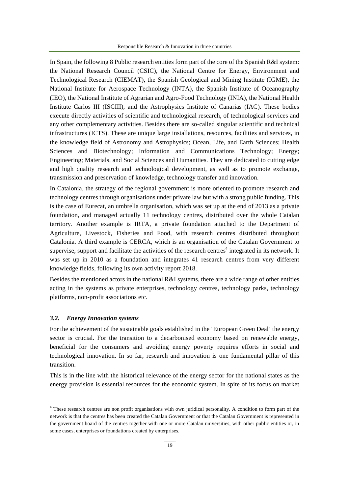In Spain, the following 8 Public research entities form part of the core of the Spanish R&I system: the National Research Council (CSIC), the National Centre for Energy, Environment and Technological Research (CIEMAT), the Spanish Geological and Mining Institute (IGME), the National Institute for Aerospace Technology (INTA), the Spanish Institute of Oceanography (IEO), the National Institute of Agrarian and Agro-Food Technology (INIA), the National Health Institute Carlos III (ISCIII), and the Astrophysics Institute of Canarias (IAC). These bodies execute directly activities of scientific and technological research, of technological services and any other complementary activities. Besides there are so-called singular scientific and technical infrastructures (ICTS). These are unique large installations, resources, facilities and services, in the knowledge field of Astronomy and Astrophysics; Ocean, Life, and Earth Sciences; Health Sciences and Biotechnology; Information and Communications Technology; Energy; Engineering; Materials, and Social Sciences and Humanities. They are dedicated to cutting edge and high quality research and technological development, as well as to promote exchange, transmission and preservation of knowledge, technology transfer and innovation.

In Catalonia, the strategy of the regional government is more oriented to promote research and technology centres through organisations under private law but with a strong public funding. This is the case of Eurecat, an umbrella organisation, which was set up at the end of 2013 as a private foundation, and managed actually 11 technology centres, distributed over the whole Catalan territory. Another example is IRTA, a private foundation attached to the Department of Agriculture, Livestock, Fisheries and Food, with research centres distributed throughout Catalonia. A third example is CERCA, which is an organisation of the Catalan Government to supervise, support and facilitate the activities of the research centres<sup>4</sup> integrated in its network. It was set up in 2010 as a foundation and integrates 41 research centres from very different knowledge fields, following its own activity report 2018.

Besides the mentioned actors in the national R&I systems, there are a wide range of other entities acting in the systems as private enterprises, technology centres, technology parks, technology platforms, non-profit associations etc.

#### *3.2. Energy Innovation systems*

For the achievement of the sustainable goals established in the 'European Green Deal' the energy sector is crucial. For the transition to a decarbonised economy based on renewable energy, beneficial for the consumers and avoiding energy poverty requires efforts in social and technological innovation. In so far, research and innovation is one fundamental pillar of this transition.

This is in the line with the historical relevance of the energy sector for the national states as the energy provision is essential resources for the economic system. In spite of its focus on market

<sup>&</sup>lt;sup>4</sup> These research centres are non profit organisations with own juridical personality. A condition to form part of the network is that the centres has been created the Catalan Government or that the Catalan Government is represented in the government board of the centres together with one or more Catalan universities, with other public entities or, in some cases, enterprises or foundations created by enterprises.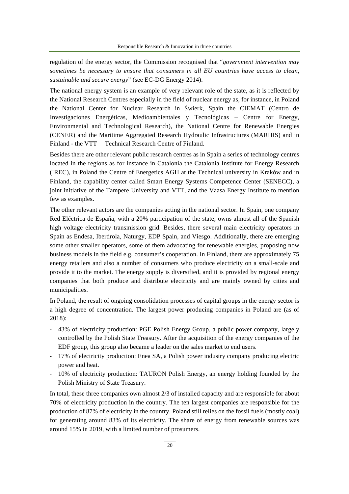regulation of the energy sector, the Commission recognised that "*government intervention may sometimes be necessary to ensure that consumers in all EU countries have access to clean, sustainable and secure energy*" (see EC-DG Energy 2014).

The national energy system is an example of very relevant role of the state, as it is reflected by the National Research Centres especially in the field of nuclear energy as, for instance, in Poland the National Center for Nuclear Research in Świerk, Spain the CIEMAT (Centro de Investigaciones Energéticas, Medioambientales y Tecnológicas – Centre for Energy, Environmental and Technological Research), the National Centre for Renewable Energies (CENER) and the Maritime Aggregated Research Hydraulic Infrastructures (MARHIS) and in Finland - the VTT— Technical Research Centre of Finland.

Besides there are other relevant public research centres as in Spain a series of technology centres located in the regions as for instance in Catalonia the Catalonia Institute for Energy Research (IREC), in Poland the Centre of Energetics AGH at the Technical university in Kraków and in Finland, the capability center called Smart Energy Systems Competence Center (SENECC), a joint initiative of the Tampere University and VTT, and the Vaasa Energy Institute to mention few as examples**.**

The other relevant actors are the companies acting in the national sector. In Spain, one company Red Eléctrica de España, with a 20% participation of the state; owns almost all of the Spanish high voltage electricity transmission grid. Besides, there several main electricity operators in Spain as Endesa, Iberdrola, Naturgy, EDP Spain, and Viesgo. Additionally, there are emerging some other smaller operators, some of them advocating for renewable energies, proposing now business models in the field e.g. consumer's cooperation. In Finland, there are approximately 75 energy retailers and also a number of consumers who produce electricity on a small-scale and provide it to the market. The energy supply is diversified, and it is provided by regional energy companies that both produce and distribute electricity and are mainly owned by cities and municipalities.

In Poland, the result of ongoing consolidation processes of capital groups in the energy sector is a high degree of concentration. The largest power producing companies in Poland are (as of 2018):

- 43% of electricity production: PGE Polish Energy Group, a public power company, largely controlled by the Polish State Treasury. After the acquisition of the energy companies of the EDF group, this group also became a leader on the sales market to end users.
- 17% of electricity production: Enea SA, a Polish power industry company producing electric power and heat.
- 10% of electricity production: TAURON Polish Energy, an energy holding founded by the Polish Ministry of State Treasury.

In total, these three companies own almost 2/3 of installed capacity and are responsible for about 70% of electricity production in the country. The ten largest companies are responsible for the production of 87% of electricity in the country. Poland still relies on the fossil fuels (mostly coal) for generating around 83% of its electricity. The share of energy from renewable sources was around 15% in 2019, with a limited number of prosumers.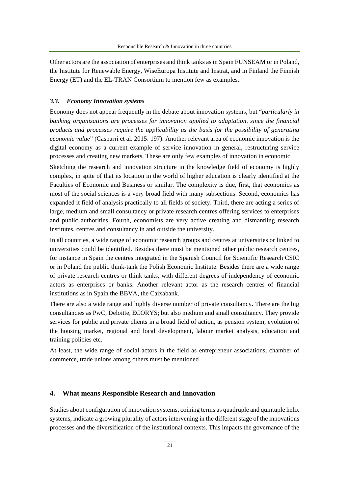Other actors are the association of enterprises and think tanks as in Spain FUNSEAM or in Poland, the Institute for Renewable Energy, WiseEuropa Institute and Instrat, and in Finland the Finnish Energy (ET) and the EL-TRAN Consortium to mention few as examples.

#### *3.3. Economy Innovation systems*

Economy does not appear frequently in the debate about innovation systems, but "*particularly in*  banking organizations are processes for innovation applied to adaptation, since the financial *products and processes require the applicability as the basis for the possibility of generating economic value*" (Casparri et al. 2015: 197). Another relevant area of economic innovation is the digital economy as a current example of service innovation in general, restructuring service processes and creating new markets. These are only few examples of innovation in economic.

Sketching the research and innovation structure in the knowledge field of economy is highly complex, in spite of that its location in the world of higher education is clearly identified at the Faculties of Economic and Business or similar. The complexity is due, first, that economics as most of the social sciences is a very broad field with many subsections. Second, economics has expanded it field of analysis practically to all fields of society. Third, there are acting a series of large, medium and small consultancy or private research centres offering services to enterprises and public authorities. Fourth, economists are very active creating and dismantling research institutes, centres and consultancy in and outside the university.

In all countries, a wide range of economic research groups and centres at universities or linked to universities could be identified. Besides there must be mentioned other public research centres, for instance in Spain the centres integrated in the Spanish Council for Scientific Research CSIC or in Poland the public think-tank the Polish Economic Institute. Besides there are a wide range of private research centres or think tanks, with different degrees of independency of economic actors as enterprises or banks. Another relevant actor as the research centres of financial institutions as in Spain the BBVA, the Caixabank.

There are also a wide range and highly diverse number of private consultancy. There are the big consultancies as PwC, Deloitte, ECORYS; but also medium and small consultancy. They provide services for public and private clients in a broad field of action, as pension system, evolution of the housing market, regional and local development, labour market analysis, education and training policies etc.

At least, the wide range of social actors in the field as entrepreneur associations, chamber of commerce, trade unions among others must be mentioned

# **4. What means Responsible Research and Innovation**

Studies about configuration of innovation systems, coining terms as quadruple and quintuple helix systems, indicate a growing plurality of actors intervening in the different stage of the innovations processes and the diversification of the institutional contexts. This impacts the governance of the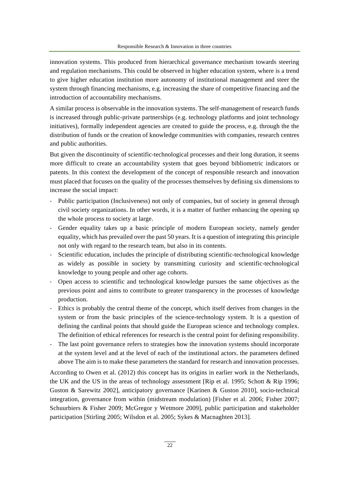innovation systems. This produced from hierarchical governance mechanism towards steering and regulation mechanisms. This could be observed in higher education system, where is a trend to give higher education institution more autonomy of institutional management and steer the system through financing mechanisms, e.g. increasing the share of competitive financing and the introduction of accountability mechanisms.

A similar process is observable in the innovation systems. The self-management of research funds is increased through public-private partnerships (e.g. technology platforms and joint technology initiatives), formally independent agencies are created to guide the process, e.g. through the the distribution of funds or the creation of knowledge communities with companies, research centres and public authorities.

But given the discontinuity of scientific-technological processes and their long duration, it seems more difficult to create an accountability system that goes beyond bibliometric indicators or patents. In this context the development of the concept of responsible research and innovation must placed that focuses on the quality of the processes themselves by defining six dimensions to increase the social impact:

- Public participation (Inclusiveness) not only of companies, but of society in general through civil society organizations. In other words, it is a matter of further enhancing the opening up the whole process to society at large.
- Gender equality takes up a basic principle of modern European society, namely gender equality, which has prevailed over the past 50 years. It is a question of integrating this principle not only with regard to the research team, but also in its contents.
- Scientific education, includes the principle of distributing scientific-technological knowledge as widely as possible in society by transmitting curiosity and scientific-technological knowledge to young people and other age cohorts.
- Open access to scientific and technological knowledge pursues the same objectives as the previous point and aims to contribute to greater transparency in the processes of knowledge production.
- Ethics is probably the central theme of the concept, which itself derives from changes in the system or from the basic principles of the science-technology system. It is a question of defining the cardinal points that should guide the European science and technology complex. The definition of ethical references for research is the central point for defining responsibility.
- The last point governance refers to strategies how the innovation systems should incorporate at the system level and at the level of each of the institutional actors. the parameters defined above The aim is to make these parameters the standard for research and innovation processes.

According to Owen et al. (2012) this concept has its origins in earlier work in the Netherlands, the UK and the US in the areas of technology assessment [Rip et al. 1995; Schott & Rip 1996; Guston & Sarewitz 2002], anticipatory governance [Karinen & Guston 2010], socio-technical integration, governance from within (midstream modulation) [Fisher et al. 2006; Fisher 2007; Schuurbiers & Fisher 2009; McGregor y Wetmore 2009], public participation and stakeholder participation [Stirling 2005; Wilsdon et al. 2005; Sykes & Macnaghten 2013].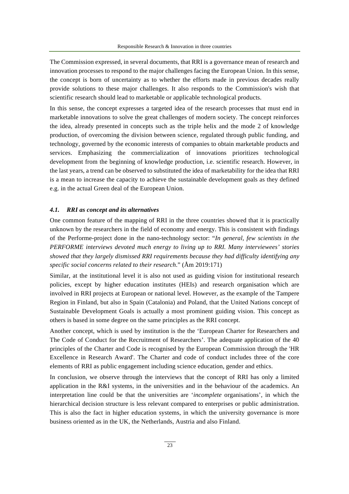The Commission expressed, in several documents, that RRI is a governance mean of research and innovation processes to respond to the major challenges facing the European Union. In this sense, the concept is born of uncertainty as to whether the efforts made in previous decades really provide solutions to these major challenges. It also responds to the Commission's wish that scientific research should lead to marketable or applicable technological products.

In this sense, the concept expresses a targeted idea of the research processes that must end in marketable innovations to solve the great challenges of modern society. The concept reinforces the idea, already presented in concepts such as the triple helix and the mode 2 of knowledge production, of overcoming the division between science, regulated through public funding, and technology, governed by the economic interests of companies to obtain marketable products and services. Emphasizing the commercialization of innovations prioritizes technological development from the beginning of knowledge production, i.e. scientific research. However, in the last years, a trend can be observed to substituted the idea of marketability for the idea that RRI is a mean to increase the capacity to achieve the sustainable development goals as they defined e.g. in the actual Green deal of the European Union.

#### *4.1. RRI as concept and its alternatives*

One common feature of the mapping of RRI in the three countries showed that it is practically unknown by the researchers in the field of economy and energy. This is consistent with findings of the Performe-project done in the nano-technology sector: "*In general, few scientists in the PERFORME interviews devoted much energy to living up to RRI. Many interviewees' stories showed that they largely dismissed RRI requirements because they had difficulty identifying any specific social concerns related to their research*." (Åm 2019:171)

Similar, at the institutional level it is also not used as guiding vision for institutional research policies, except by higher education institutes (HEIs) and research organisation which are involved in RRI projects at European or national level. However, as the example of the Tampere Region in Finland, but also in Spain (Catalonia) and Poland, that the United Nations concept of Sustainable Development Goals is actually a most prominent guiding vision. This concept as others is based in some degree on the same principles as the RRI concept.

Another concept, which is used by institution is the the 'European Charter for Researchers and The Code of Conduct for the Recruitment of Researchers'. The adequate application of the 40 principles of the Charter and Code is recognised by the European Commission through the 'HR Excellence in Research Award'. The Charter and code of conduct includes three of the core elements of RRI as public engagement including science education, gender and ethics.

In conclusion, we observe through the interviews that the concept of RRI has only a limited application in the R&I systems, in the universities and in the behaviour of the academics. An interpretation line could be that the universities are '*incomplete* organisations', in which the hierarchical decision structure is less relevant compared to enterprises or public administration. This is also the fact in higher education systems, in which the university governance is more business oriented as in the UK, the Netherlands, Austria and also Finland.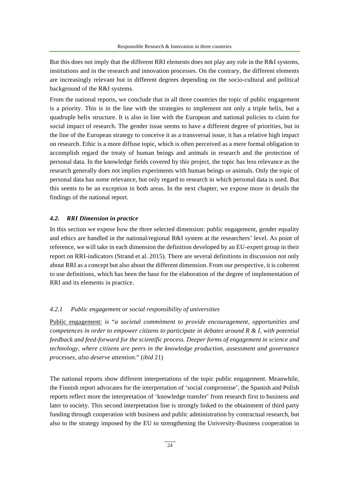But this does not imply that the different RRI elements does not play any role in the R&I systems, institutions and in the research and innovation processes. On the contrary, the different elements are increasingly relevant but in different degrees depending on the socio-cultural and political background of the R&I systems.

From the national reports, we conclude that in all three countries the topic of public engagement is a priority. This is in the line with the strategies to implement not only a triple helix, but a quadruple helix structure. It is also in line with the European and national policies to claim for social impact of research. The gender issue seems to have a different degree of priorities, but in the line of the European strategy to conceive it as a transversal issue, it has a relative high impact on research. Ethic is a more diffuse topic, which is often perceived as a mere formal obligation to accomplish regard the treaty of human beings and animals in research and the protection of personal data. In the knowledge fields covered by this project, the topic has less relevance as the research generally does not implies experiments with human beings or animals. Only the topic of personal data has some relevance, but only regard to research in which personal data is used. But this seems to be an exception in both areas. In the next chapter, we expose more in details the findings of the national report.

#### *4.2. RRI Dimension in practice*

In this section we expose how the three selected dimension: public engagement, gender equality and ethics are handled in the national/regional R&I system at the researchers' level. As point of reference, we will take in each dimension the definition developed by an EU-expert group in their report on RRI-indicators (Strand et al. 2015). There are several definitions in discussion not only about RRI as a concept but also about the different dimension. From our perspective, it is coherent to use definitions, which has been the base for the elaboration of the degree of implementation of RRI and its elements in practice.

#### *4.2.1 Public engagement or social responsibility of universities*

Public engagement: is "*a societal commitment to provide encouragement, opportunities and competences in order to empower citizens to participate in debates around R & I, with potential feedback and feed-forward for the scientific process. Deeper forms of engagement in science and technology, where citizens are peers in the knowledge production, assessment and governance processes, also deserve attention*." (*ibid* 21)

The national reports show different interpretations of the topic public engagement. Meanwhile, the Finnish report advocates for the interpretation of 'social compromise', the Spanish and Polish reports reflect more the interpretation of 'knowledge transfer' from research first to business and later to society. This second interpretation line is strongly linked to the obtainment of third party funding through cooperation with business and public administration by contractual research, but also to the strategy imposed by the EU to strengthening the University-Business cooperation in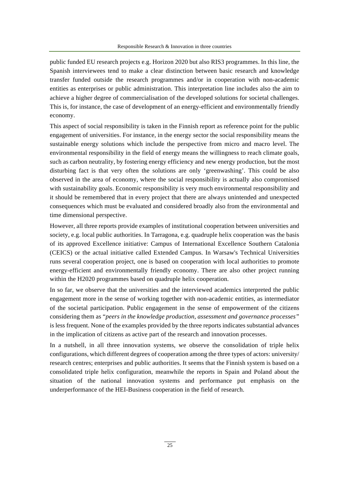public funded EU research projects e.g. Horizon 2020 but also RIS3 programmes. In this line, the Spanish interviewees tend to make a clear distinction between basic research and knowledge transfer funded outside the research programmes and/or in cooperation with non-academic entities as enterprises or public administration. This interpretation line includes also the aim to achieve a higher degree of commercialisation of the developed solutions for societal challenges. This is, for instance, the case of development of an energy-efficient and environmentally friendly economy.

This aspect of social responsibility is taken in the Finnish report as reference point for the public engagement of universities. For instance, in the energy sector the social responsibility means the sustainable energy solutions which include the perspective from micro and macro level. The environmental responsibility in the field of energy means the willingness to reach climate goals, such as carbon neutrality, by fostering energy efficiency and new energy production, but the most disturbing fact is that very often the solutions are only 'greenwashing'. This could be also observed in the area of economy, where the social responsibility is actually also compromised with sustainability goals. Economic responsibility is very much environmental responsibility and it should be remembered that in every project that there are always unintended and unexpected consequences which must be evaluated and considered broadly also from the environmental and time dimensional perspective.

However, all three reports provide examples of institutional cooperation between universities and society, e.g. local public authorities. In Tarragona, e.g. quadruple helix cooperation was the basis of its approved Excellence initiative: Campus of International Excellence Southern Catalonia (CEICS) or the actual initiative called Extended Campus. In Warsaw's Technical Universities runs several cooperation project, one is based on cooperation with local authorities to promote energy-efficient and environmentally friendly economy. There are also other project running within the H2020 programmes based on quadruple helix cooperation.

In so far, we observe that the universities and the interviewed academics interpreted the public engagement more in the sense of working together with non-academic entities, as intermediator of the societal participation. Public engagement in the sense of empowerment of the citizens considering them as "*peers in the knowledge production, assessment and governance processes"*  is less frequent. None of the examples provided by the three reports indicates substantial advances in the implication of citizens as active part of the research and innovation processes.

In a nutshell, in all three innovation systems, we observe the consolidation of triple helix configurations, which different degrees of cooperation among the three types of actors: university/ research centres; enterprises and public authorities. It seems that the Finnish system is based on a consolidated triple helix configuration, meanwhile the reports in Spain and Poland about the situation of the national innovation systems and performance put emphasis on the underperformance of the HEI-Business cooperation in the field of research.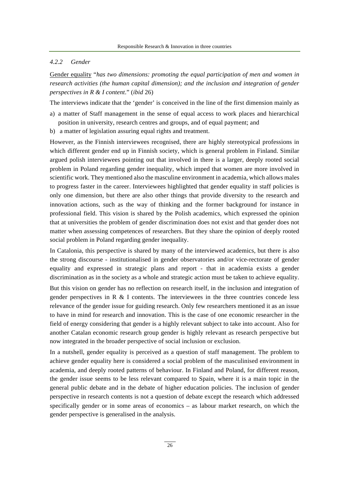#### *4.2.2 Gender*

Gender equality "*has two dimensions: promoting the equal participation of men and women in research activities (the human capital dimension); and the inclusion and integration of gender perspectives in R & I content*." (*ibid* 26)

The interviews indicate that the 'gender' is conceived in the line of the first dimension mainly as

- a) a matter of Staff management in the sense of equal access to work places and hierarchical position in university, research centres and groups, and of equal payment; and
- b) a matter of legislation assuring equal rights and treatment.

However, as the Finnish interviewees recognised, there are highly stereotypical professions in which different gender end up in Finnish society, which is general problem in Finland. Similar argued polish interviewees pointing out that involved in there is a larger, deeply rooted social problem in Poland regarding gender inequality, which imped that women are more involved in scientific work. They mentioned also the masculine environment in academia, which allows males to progress faster in the career. Interviewees highlighted that gender equality in staff policies is only one dimension, but there are also other things that provide diversity to the research and innovation actions, such as the way of thinking and the former background for instance in professional field. This vision is shared by the Polish academics, which expressed the opinion that at universities the problem of gender discrimination does not exist and that gender does not matter when assessing competences of researchers. But they share the opinion of deeply rooted social problem in Poland regarding gender inequality.

In Catalonia, this perspective is shared by many of the interviewed academics, but there is also the strong discourse - institutionalised in gender observatories and/or vice-rectorate of gender equality and expressed in strategic plans and report - that in academia exists a gender discrimination as in the society as a whole and strategic action must be taken to achieve equality.

But this vision on gender has no reflection on research itself, in the inclusion and integration of gender perspectives in R  $\&$  I contents. The interviewees in the three countries concede less relevance of the gender issue for guiding research. Only few researchers mentioned it as an issue to have in mind for research and innovation. This is the case of one economic researcher in the field of energy considering that gender is a highly relevant subject to take into account. Also for another Catalan economic research group gender is highly relevant as research perspective but now integrated in the broader perspective of social inclusion or exclusion.

In a nutshell, gender equality is perceived as a question of staff management. The problem to achieve gender equality here is considered a social problem of the masculinised environment in academia, and deeply rooted patterns of behaviour. In Finland and Poland, for different reason, the gender issue seems to be less relevant compared to Spain, where it is a main topic in the general public debate and in the debate of higher education policies. The inclusion of gender perspective in research contents is not a question of debate except the research which addressed specifically gender or in some areas of economics – as labour market research, on which the gender perspective is generalised in the analysis.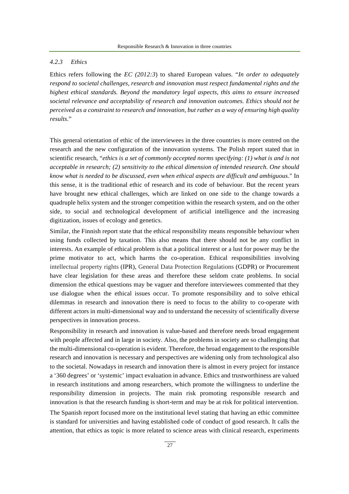#### *4.2.3 Ethics*

Ethics refers following the *EC (2012:3*) to shared European values. "*In order to adequately respond to societal challenges, research and innovation must respect fundamental rights and the highest ethical standards. Beyond the mandatory legal aspects, this aims to ensure increased societal relevance and acceptability of research and innovation outcomes. Ethics should not be perceived as a constraint to research and innovation, but rather as a way of ensuring high quality results*."

This general orientation of ethic of the interviewees in the three countries is more centred on the research and the new configuration of the innovation systems. The Polish report stated that in scientific research, "*ethics is a set of commonly accepted norms specifying: (1) what is and is not acceptable in research; (2) sensitivity to the ethical dimension of intended research. One should know what is needed to be discussed, even when ethical aspects are difficult and ambiguous*." In this sense, it is the traditional ethic of research and its code of behaviour. But the recent years have brought new ethical challenges, which are linked on one side to the change towards a quadruple helix system and the stronger competition within the research system, and on the other side, to social and technological development of artificial intelligence and the increasing digitization, issues of ecology and genetics.

Similar, the Finnish report state that the ethical responsibility means responsible behaviour when using funds collected by taxation. This also means that there should not be any conflict in interests. An example of ethical problem is that a political interest or a lust for power may be the prime motivator to act, which harms the co-operation. Ethical responsibilities involving intellectual property rights (IPR), General Data Protection Regulations (GDPR) or Procurement have clear legislation for these areas and therefore these seldom crate problems. In social dimension the ethical questions may be vaguer and therefore interviewees commented that they use dialogue when the ethical issues occur. To promote responsibility and to solve ethical dilemmas in research and innovation there is need to focus to the ability to co-operate with different actors in multi-dimensional way and to understand the necessity of scientifically diverse perspectives in innovation process.

Responsibility in research and innovation is value-based and therefore needs broad engagement with people affected and in large in society. Also, the problems in society are so challenging that the multi-dimensional co-operation is evident. Therefore, the broad engagement to the responsible research and innovation is necessary and perspectives are widening only from technological also to the societal. Nowadays in research and innovation there is almost in every project for instance a '360 degrees' or 'systemic' impact evaluation in advance. Ethics and trustworthiness are valued in research institutions and among researchers, which promote the willingness to underline the responsibility dimension in projects. The main risk promoting responsible research and innovation is that the research funding is short-term and may be at risk for political intervention.

The Spanish report focused more on the institutional level stating that having an ethic committee is standard for universities and having established code of conduct of good research. It calls the attention, that ethics as topic is more related to science areas with clinical research, experiments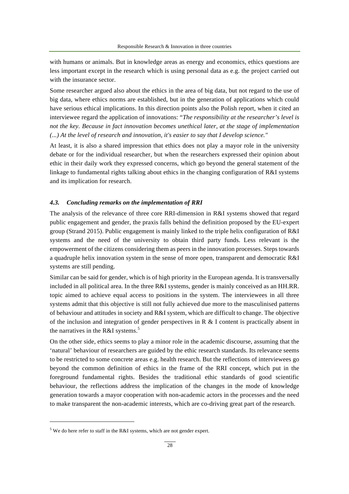with humans or animals. But in knowledge areas as energy and economics, ethics questions are less important except in the research which is using personal data as e.g. the project carried out with the insurance sector.

Some researcher argued also about the ethics in the area of big data, but not regard to the use of big data, where ethics norms are established, but in the generation of applications which could have serious ethical implications. In this direction points also the Polish report, when it cited an interviewee regard the application of innovations: "*The responsibility at the researcher's level is not the key. Because in fact innovation becomes unethical later, at the stage of implementation (...) At the level of research and innovation, it's easier to say that I develop science."*

At least, it is also a shared impression that ethics does not play a mayor role in the university debate or for the individual researcher, but when the researchers expressed their opinion about ethic in their daily work they expressed concerns, which go beyond the general statement of the linkage to fundamental rights talking about ethics in the changing configuration of R&I systems and its implication for research.

#### *4.3. Concluding remarks on the implementation of RRI*

The analysis of the relevance of three core RRI-dimension in R&I systems showed that regard public engagement and gender, the praxis falls behind the definition proposed by the EU-expert group (Strand 2015). Public engagement is mainly linked to the triple helix configuration of R&I systems and the need of the university to obtain third party funds. Less relevant is the empowerment of the citizens considering them as peers in the innovation processes. Steps towards a quadruple helix innovation system in the sense of more open, transparent and democratic R&I systems are still pending.

Similar can be said for gender, which is of high priority in the European agenda. It is transversally included in all political area. In the three R&I systems, gender is mainly conceived as an HH.RR. topic aimed to achieve equal access to positions in the system. The interviewees in all three systems admit that this objective is still not fully achieved due more to the masculinised patterns of behaviour and attitudes in society and R&I system, which are difficult to change. The objective of the inclusion and integration of gender perspectives in R & I content is practically absent in the narratives in the R&I systems.<sup>5</sup>

On the other side, ethics seems to play a minor role in the academic discourse, assuming that the 'natural' behaviour of researchers are guided by the ethic research standards. Its relevance seems to be restricted to some concrete areas e.g. health research. But the reflections of interviewees go beyond the common definition of ethics in the frame of the RRI concept, which put in the foreground fundamental rights. Besides the traditional ethic standards of good scientific behaviour, the reflections address the implication of the changes in the mode of knowledge generation towards a mayor cooperation with non-academic actors in the processes and the need to make transparent the non-academic interests, which are co-driving great part of the research.

 $5$  We do here refer to staff in the R&I systems, which are not gender expert.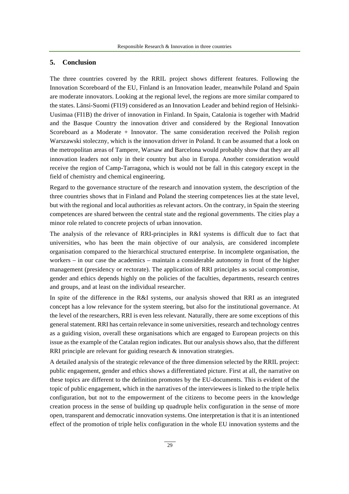# **5. Conclusion**

The three countries covered by the RRIL project shows different features. Following the Innovation Scoreboard of the EU, Finland is an Innovation leader, meanwhile Poland and Spain are moderate innovators. Looking at the regional level, the regions are more similar compared to the states. Länsi-Suomi (FI19) considered as an Innovation Leader and behind region of Helsinki-Uusimaa (FI1B) the driver of innovation in Finland. In Spain, Catalonia is together with Madrid and the Basque Country the innovation driver and considered by the Regional Innovation Scoreboard as a Moderate + Innovator. The same consideration received the Polish region Warszawski stoleczny, which is the innovation driver in Poland. It can be assumed that a look on the metropolitan areas of Tampere, Warsaw and Barcelona would probably show that they are all innovation leaders not only in their country but also in Europa. Another consideration would receive the region of Camp-Tarragona, which is would not be fall in this category except in the field of chemistry and chemical engineering.

Regard to the governance structure of the research and innovation system, the description of the three countries shows that in Finland and Poland the steering competences lies at the state level, but with the regional and local authorities as relevant actors. On the contrary, in Spain the steering competences are shared between the central state and the regional governments. The cities play a minor role related to concrete projects of urban innovation.

The analysis of the relevance of RRI-principles in R&I systems is difficult due to fact that universities, who has been the main objective of our analysis, are considered incomplete organisation compared to the hierarchical structured enterprise. In incomplete organisation, the workers – in our case the academics – maintain a considerable autonomy in front of the higher management (presidency or rectorate). The application of RRI principles as social compromise, gender and ethics depends highly on the policies of the faculties, departments, research centres and groups, and at least on the individual researcher.

In spite of the difference in the R&I systems, our analysis showed that RRI as an integrated concept has a low relevance for the system steering, but also for the institutional governance. At the level of the researchers, RRI is even less relevant. Naturally, there are some exceptions of this general statement. RRI has certain relevance in some universities, research and technology centres as a guiding vision, overall these organisations which are engaged to European projects on this issue as the example of the Catalan region indicates. But our analysis shows also, that the different RRI principle are relevant for guiding research & innovation strategies.

A detailed analysis of the strategic relevance of the three dimension selected by the RRIL project: public engagement, gender and ethics shows a differentiated picture. First at all, the narrative on these topics are different to the definition promotes by the EU-documents. This is evident of the topic of public engagement, which in the narratives of the interviewees is linked to the triple helix configuration, but not to the empowerment of the citizens to become peers in the knowledge creation process in the sense of building up quadruple helix configuration in the sense of more open, transparent and democratic innovation systems. One interpretation is that it is an intentioned effect of the promotion of triple helix configuration in the whole EU innovation systems and the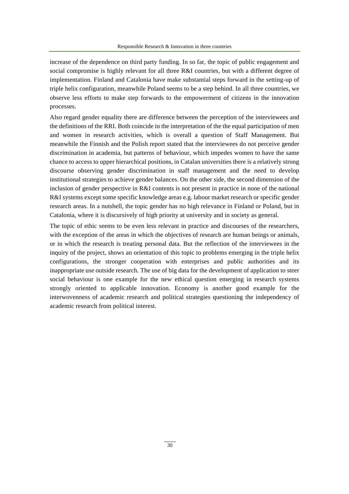increase of the dependence on third party funding. In so far, the topic of public engagement and social compromise is highly relevant for all three R&I countries, but with a different degree of implementation. Finland and Catalonia have make substantial steps forward in the setting-up of triple helix configuration, meanwhile Poland seems to be a step behind. In all three countries, we observe less efforts to make step forwards to the empowerment of citizens in the innovation processes.

Also regard gender equality there are difference between the perception of the interviewees and the definitions of the RRI. Both coincide in the interpretation of the the equal participation of men and women in research activities, which is overall a question of Staff Management. But meanwhile the Finnish and the Polish report stated that the interviewees do not perceive gender discrimination in academia, but patterns of behaviour, which impedes women to have the same chance to access to upper hierarchical positions, in Catalan universities there is a relatively strong discourse observing gender discrimination in staff management and the need to develop institutional strategies to achieve gender balances. On the other side, the second dimension of the inclusion of gender perspective in R&I contents is not present in practice in none of the national R&I systems except some specific knowledge areas e.g. labour market research or specific gender research areas. In a nutshell, the topic gender has no high relevance in Finland or Poland, but in Catalonia, where it is discursively of high priority at university and in society as general.

The topic of ethic seems to be even less relevant in practice and discourses of the researchers, with the exception of the areas in which the objectives of research are human beings or animals, or in which the research is treating personal data. But the reflection of the interviewees in the inquiry of the project, shows an orientation of this topic to problems emerging in the triple helix configurations, the stronger cooperation with enterprises and public authorities and its inappropriate use outside research. The use of big data for the development of application to steer social behaviour is one example for the new ethical question emerging in research systems strongly oriented to applicable innovation. Economy is another good example for the interwovenness of academic research and political strategies questioning the independency of academic research from political interest.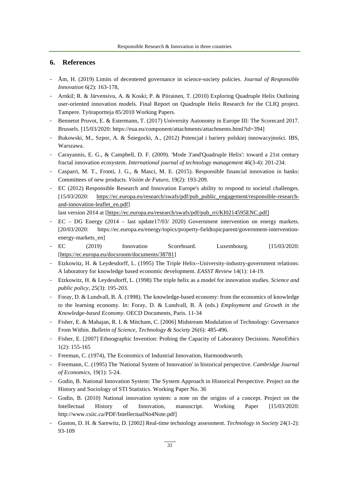# **6. References**

- Åm, H. (2019) Limits of decentered governance in science-society policies. *Journal of Responsible Innovation* 6(2): 163-178,
- Arnkil; R. & Järvensivu, A. & Koski; P. & Piirainen, T. (2010) Exploring Quadruple Helix Outlining user-oriented innovation models. Final Report on Quadruple Helix Research for the CLIQ project. Tampere. Työraportteja 85/2010 Working Papers.
- Bennetot Pruvot, E. & Estermann, T. (2017) University Autonomy in Europe III: The Scorecard 2017. Brussels. [15/03/2020: https://eua.eu/component/attachments/attachments.html?id=394]
- Bukowski, M., Szpor, A. & Śniegocki, A., (2012) Potencjał i bariery polskiej innowacyjności. IBS, Warszawa.
- Carayannis, E. G., & Campbell, D. F. (2009). 'Mode 3'and'Quadruple Helix': toward a 21st century fractal innovation ecosystem. *International journal of technology management* 46(3-4): 201-234.
- Casparri, M. T., Fronti, J. G., & Masci, M. E. (2015). Responsible financial innovation in banks: Committees of new products. *Visión de Futuro*, 19(2): 193-209.
- EC (2012) Responsible Research and Innovation Europe's ability to respond to societal challenges. [15/03/2020: https://ec.europa.eu/research/swafs/pdf/pub\_public\_engagement/responsible-researchand-innovation-leaflet\_en.pdf]

last version 2014 at [https://ec.europa.eu/research/swafs/pdf/pub\_rri/KI0214595ENC.pdf]

- EC DG Energy (2014 last update17/03/ 2020) Government intervention on energy markets. [20/03/2020: https://ec.europa.eu/energy/topics/property-fieldtopicparent/government-interventionenergy-markets\_en]
- EC (2019) Innovation Scoreboard. Luxembourg. [15/03/2020: [https://ec.europa.eu/docsroom/documents/38781]
- Etzkowitz, H. & Leydesdorff, L. (1995) The Triple Helix--University-industry-government relations: A laboratory for knowledge based economic development. *EASST Review* 14(1): 14-19.
- Etzkowitz, H. & Leydesdorff, L. (1998) The triple helix as a model for innovation studies. *Science and public policy*, 25(3): 195-203.
- Foray, D. & Lundvall, B. Ä. (1998). The knowledge-based economy: from the economics of knowledge to the learning economy. In: Foray, D. & Lundvall, B. Ä (eds.) *Employment and Growth in the Knowledge-based Economy*. OECD Documents, Paris. 11-34
- Fisher, E. & Mahajan, R. I. & Mitcham, C. [2006] Midstream Modulation of Technology: Governance From Within. *Bulletin of Science, Technology & Society* 26(6): 485-496.
- Fisher, E. [2007] Ethnographic Invention: Probing the Capacity of Laboratory Decisions. *NanoEthics* 1(2): 155-165
- Freeman, C. (1974), The Economics of Industrial Innovation, Harmondsworth.
- Freemann, C. (1995) The 'National System of Innovation' in historical perspective. *Cambridge Journal of Economics*, 19(1): 5-24.
- Godin, B. National Innovation System: The System Approach in Historical Perspective. Project on the History and Sociology of STI Statistics. Working Paper No. 36
- Godin, B. (2010) National innovation system: a note on the origins of a concept. Project on the Intellectual History of Innovation, manuscript. Working Paper [15/03/2020: http://www.csiic.ca/PDF/IntellectualNo4Note.pdf]
- Guston, D. H. & Sarewitz, D. [2002] Real-time technology assessment. *Technology in Society* 24(1-2): 93-109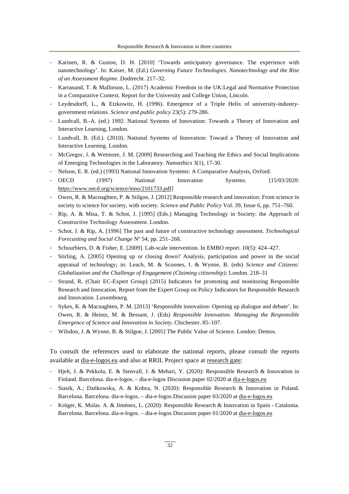- Karinen, R. & Guston, D. H. [2010] 'Towards anticipatory governance. The experience with nanotechnology'. In: Kaiser, M. (Ed.) *Governing Future Technologies. Nanotechnology and the Rise of an Assessment Regime*. Dodtrecht. 217–32.
- Karranand, T. & Mallinson, L. (2017) Academic Freedom in the UK:Legal and Normative Protection in a Comparative Context. Report for the University and College Union, Lincoln.
- Leydesdorff, L., & Etzkowitz, H. (1996). Emergence of a Triple Helix of university-industrygovernment relations. *Science and public policy* 23(5): 279-286.
- Lundvall, B.-A. (ed.) 1992. National Systems of Innovation: Towards a Theory of Innovation and Interactive Learning, London.
- Lundvall, B. (Ed.). (2010). National Systems of Innovation: Toward a Theory of Innovation and Interactive Learning. London.
- McGregor, J. & Wetmore, J. M. [2009] Researching and Teaching the Ethics and Social Implications of Emerging Technologies in the Laboratory. *Nanoethics* 3(1), 17-30.
- Nelson, E. R. (ed.) (1993) National Innovation Systems: A Comparative Analysis, Oxford.
- OECD (1997) National Innovation Systems. [15/03/2020: https://www.oecd.org/science/inno/2101733.pdf]
- Owen, R. & Macnaghten, P. & Stilgoe, J. [2012] Responsible research and innovation: From science in society to science for society, with society. *Science and Public Policy* Vol. 39, Issue 6, pp. 751–760.
- Rip, A. & Misa, T. & Schot, J. [1995] (Eds.) Managing Technology in Society: the Approach of Constructive Technology Assessment. London.
- Schot, J. & Rip, A. [1996] The past and future of constructive technology assessment. *Technological Forecasting and Social Change* Nº 54; pp. 251–268.
- Schuurbiers, D. & Fisher, E. [2009]. Lab-scale intervention. In EMBO report. 10(5): 424–427.
- Stirling, A. [2005] Opening up or closing down? Analysis, participation and power in the social appraisal of technology; in: Leach, M. & Scoones, I. & Wynne, B. (eds) *Science and Citizens: Globalization and the Challenge of Engagement (Claiming citizenship);* London. 218–31
- Strand, R. (Chair EC-Expert Group) (2015) Indicators for promoting and monitoring Responsible Research and Innocation. Report from the Expert Group on Policy Indicators for Responsible Research and Innovation. Luxembourg.
- Sykes, K. & Macnaghten, P. M. [2013] 'Responsible innovation- Opening up dialogue and debate'. In: Owen, R. & Heintz, M. & Bessant, J. (Eds) *Responsible Innovation. Managing the Responsible Emergence of Science and Innovation in Society*. Chichester. 85–107.
- Wilsdon, J. & Wynne, B. & Stilgoe, J. [2005] The Public Value of Science. London: Demos.

To consult the references used to elaborate the national reports, please consult the reports available at dia-e-logos.eu and also at RRIL Project space at research gate:

- Hjelt, J. & Pekkola, E. & Stenvall, J. & Mehari, Y. (2020): Responsible Research & Innovation in Finland. Barcelona. dia-e-logos. – dia-e-logos Discusion paper 02/2020 at dia-e-logos.eu
- Stasik, A.; Dańkowska, A. & Kobza, N. (2020): Responsible Research & Innovation in Poland. Barcelona. Barcelona. dia-e-logos. – dia-e-logos Discusion paper 03/2020 at dia-e-logos.eu
- Krüger, K. Molas. A. & Jiménez, L. (2020): Responsible Research & Innovation in Spain Catalonia. Barcelona. Barcelona. dia-e-logos. – dia-e-logos Discusion paper 01/2020 at dia-e-logos.eu